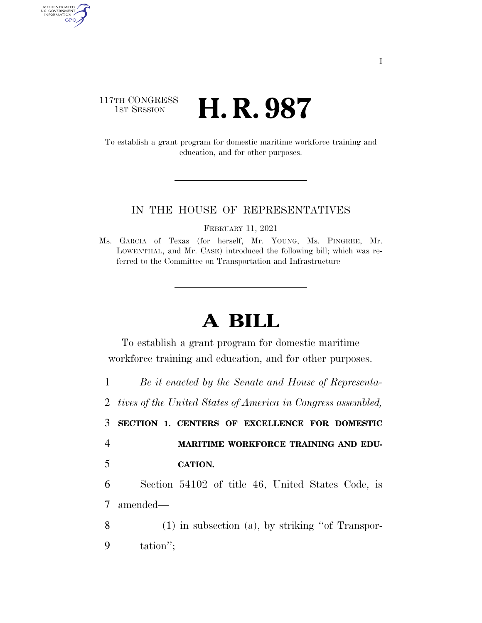## 117TH CONGRESS **1st Session H. R. 987**

AUTHENTICATED<br>U.S. GOVERNMENT<br>INFORMATION GPO

> To establish a grant program for domestic maritime workforce training and education, and for other purposes.

## IN THE HOUSE OF REPRESENTATIVES

FEBRUARY 11, 2021

Ms. GARCIA of Texas (for herself, Mr. YOUNG, Ms. PINGREE, Mr. LOWENTHAL, and Mr. CASE) introduced the following bill; which was referred to the Committee on Transportation and Infrastructure

## **A BILL**

To establish a grant program for domestic maritime workforce training and education, and for other purposes.

1 *Be it enacted by the Senate and House of Representa-*2 *tives of the United States of America in Congress assembled,* 

3 **SECTION 1. CENTERS OF EXCELLENCE FOR DOMESTIC** 

4 **MARITIME WORKFORCE TRAINING AND EDU-**5 **CATION.** 

6 Section 54102 of title 46, United States Code, is 7 amended—

8 (1) in subsection (a), by striking ''of Transpor-9 tation'';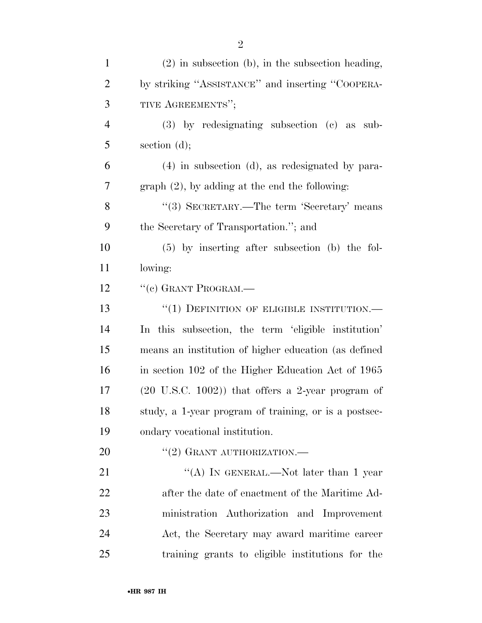| $\mathbf{1}$   | $(2)$ in subsection (b), in the subsection heading,         |
|----------------|-------------------------------------------------------------|
| $\overline{2}$ | by striking "ASSISTANCE" and inserting "COOPERA-            |
| 3              | TIVE AGREEMENTS";                                           |
| $\overline{4}$ | $(3)$ by redesignating subsection $(e)$ as sub-             |
| 5              | section $(d)$ ;                                             |
| 6              | $(4)$ in subsection $(d)$ , as redesignated by para-        |
| 7              | $graph (2)$ , by adding at the end the following:           |
| 8              | "(3) SECRETARY.—The term 'Secretary' means                  |
| 9              | the Secretary of Transportation."; and                      |
| 10             | $(5)$ by inserting after subsection (b) the fol-            |
| 11             | lowing:                                                     |
| 12             | "(c) GRANT PROGRAM.—                                        |
| 13             | $``(1)$ DEFINITION OF ELIGIBLE INSTITUTION.—                |
| 14             | In this subsection, the term 'eligible institution'         |
| 15             | means an institution of higher education (as defined        |
| 16             | in section 102 of the Higher Education Act of 1965          |
| 17             | $(20 \text{ U.S.C. } 1002)$ that offers a 2-year program of |
| 18             | study, a 1-year program of training, or is a postsec-       |
| 19             | ondary vocational institution.                              |
| 20             | $``(2)$ GRANT AUTHORIZATION.—                               |
| 21             | "(A) IN GENERAL.—Not later than 1 year                      |
| 22             | after the date of enactment of the Maritime Ad-             |
| 23             | ministration Authorization and Improvement                  |
| 24             | Act, the Secretary may award maritime career                |

training grants to eligible institutions for the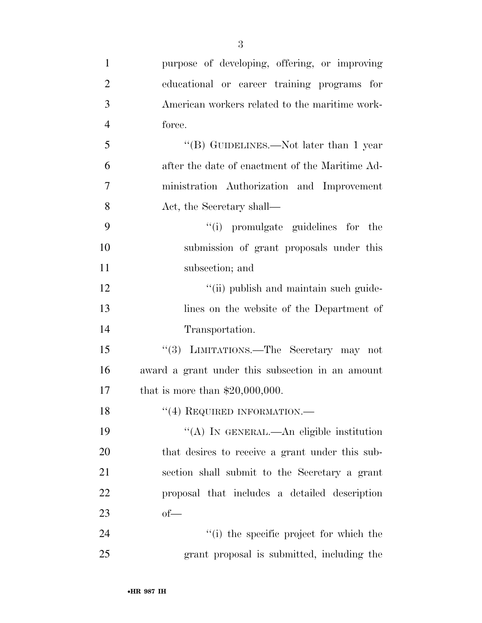| $\mathbf{1}$   | purpose of developing, offering, or improving    |
|----------------|--------------------------------------------------|
| $\overline{2}$ | educational or career training programs for      |
| 3              | American workers related to the maritime work-   |
| $\overline{4}$ | force.                                           |
| 5              | "(B) GUIDELINES.—Not later than 1 year           |
| 6              | after the date of enactment of the Maritime Ad-  |
| 7              | ministration Authorization and Improvement       |
| 8              | Act, the Secretary shall—                        |
| 9              | "(i) promulgate guidelines for the               |
| 10             | submission of grant proposals under this         |
| 11             | subsection; and                                  |
| 12             | "(ii) publish and maintain such guide-           |
| 13             | lines on the website of the Department of        |
| 14             | Transportation.                                  |
| 15             | "(3) LIMITATIONS.—The Secretary may not          |
| 16             | award a grant under this subsection in an amount |
| 17             | that is more than $$20,000,000$ .                |
| 18             | $``(4)$ REQUIRED INFORMATION.—                   |
| 19             | "(A) IN GENERAL.—An eligible institution         |
| 20             | that desires to receive a grant under this sub-  |
| 21             | section shall submit to the Secretary a grant    |
| 22             | proposal that includes a detailed description    |
| 23             | $of$ —                                           |
| 24             | "(i) the specific project for which the          |
| 25             | grant proposal is submitted, including the       |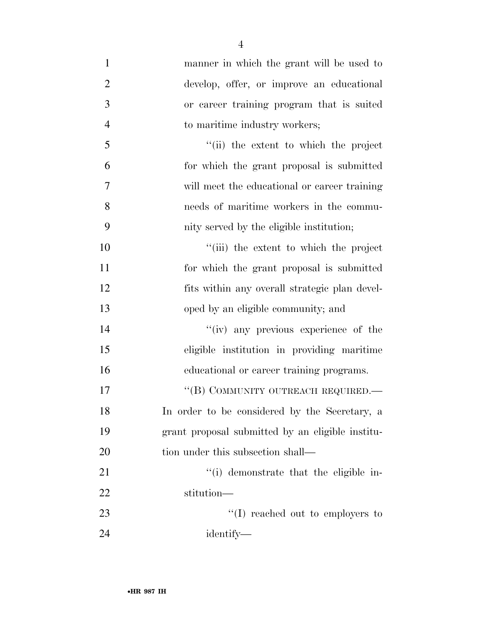| $\mathbf{1}$   | manner in which the grant will be used to        |
|----------------|--------------------------------------------------|
| $\overline{2}$ | develop, offer, or improve an educational        |
| 3              | or career training program that is suited        |
| $\overline{4}$ | to maritime industry workers;                    |
| 5              | "(ii) the extent to which the project            |
| 6              | for which the grant proposal is submitted        |
| 7              | will meet the educational or career training     |
| 8              | needs of maritime workers in the commu-          |
| 9              | nity served by the eligible institution;         |
| 10             | "(iii) the extent to which the project           |
| 11             | for which the grant proposal is submitted        |
| 12             | fits within any overall strategic plan devel-    |
| 13             | oped by an eligible community; and               |
| 14             | "(iv) any previous experience of the             |
| 15             | eligible institution in providing maritime       |
| 16             | educational or career training programs.         |
| 17             | "(B) COMMUNITY OUTREACH REQUIRED.—               |
| 18             | In order to be considered by the Secretary, a    |
| 19             | grant proposal submitted by an eligible institu- |
| 20             | tion under this subsection shall—                |
| 21             | "(i) demonstrate that the eligible in-           |
| 22             | stitution-                                       |
| 23             | $\lq\lq$ reached out to employers to             |
| 24             | identify—                                        |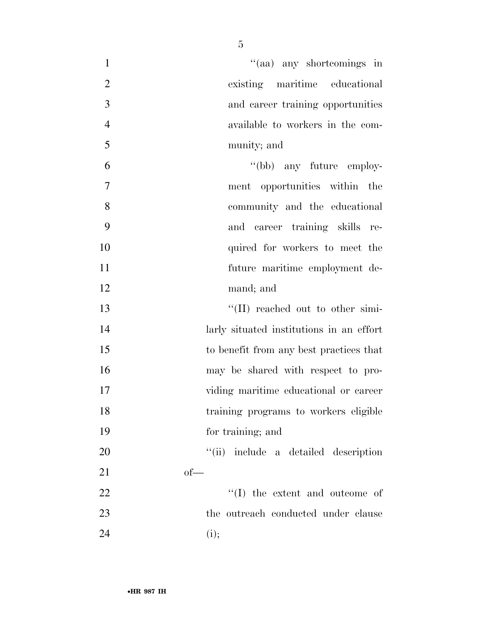| $\mathbf{1}$   | "(aa) any shortcomings in                |
|----------------|------------------------------------------|
| $\overline{2}$ | existing maritime educational            |
| 3              | and career training opportunities        |
| $\overline{4}$ | available to workers in the com-         |
| 5              | munity; and                              |
| 6              | "(bb) any future employ-                 |
| 7              | ment opportunities within the            |
| 8              | community and the educational            |
| 9              | and career training skills re-           |
| 10             | quired for workers to meet the           |
| 11             | future maritime employment de-           |
| 12             | mand; and                                |
| 13             | $\lq\lq$ (II) reached out to other simi- |
| 14             | larly situated institutions in an effort |
| 15             | to benefit from any best practices that  |
| 16             | may be shared with respect to pro-       |
| 17             | viding maritime educational or career    |
| 18             | training programs to workers eligible    |
| 19             | for training; and                        |
| 20             | "(ii) include a detailed description     |
| 21             | $of$ —                                   |
| 22             | $\lq\lq$ (I) the extent and outcome of   |
| 23             | the outreach conducted under clause      |
| 24             | (i);                                     |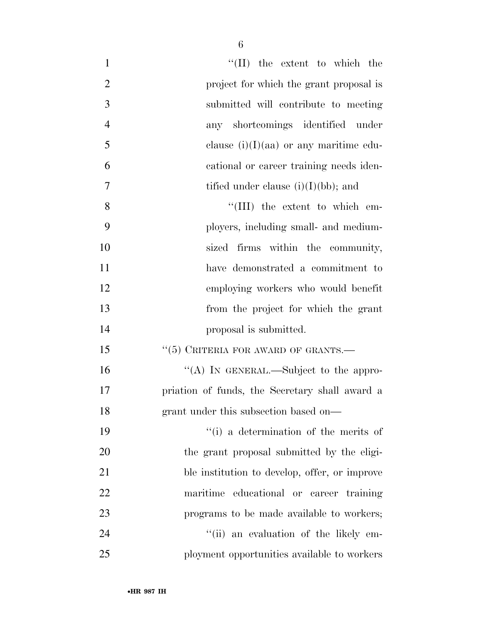| $\mathbf{1}$   | $\lq\lq$ (II) the extent to which the          |
|----------------|------------------------------------------------|
| $\overline{2}$ | project for which the grant proposal is        |
| $\overline{3}$ | submitted will contribute to meeting           |
| $\overline{4}$ | any shortcomings identified under              |
| 5              | clause $(i)(I)(aa)$ or any maritime edu-       |
| 6              | cational or career training needs iden-        |
| 7              | tified under clause $(i)(I)(bb)$ ; and         |
| 8              | "(III) the extent to which em-                 |
| 9              | ployers, including small- and medium-          |
| 10             | sized firms within the community,              |
| 11             | have demonstrated a commitment to              |
| 12             | employing workers who would benefit            |
| 13             | from the project for which the grant           |
| 14             | proposal is submitted.                         |
| 15             | $``(5)$ CRITERIA FOR AWARD OF GRANTS.—         |
| 16             | "(A) IN GENERAL.—Subject to the appro-         |
| 17             | priation of funds, the Secretary shall award a |
| 18             | grant under this subsection based on—          |
| 19             | "(i) a determination of the merits of          |
| 20             | the grant proposal submitted by the eligi-     |
| 21             | ble institution to develop, offer, or improve  |
| 22             | maritime educational or career training        |
| 23             | programs to be made available to workers;      |
| 24             | "(ii) an evaluation of the likely em-          |
| 25             | ployment opportunities available to workers    |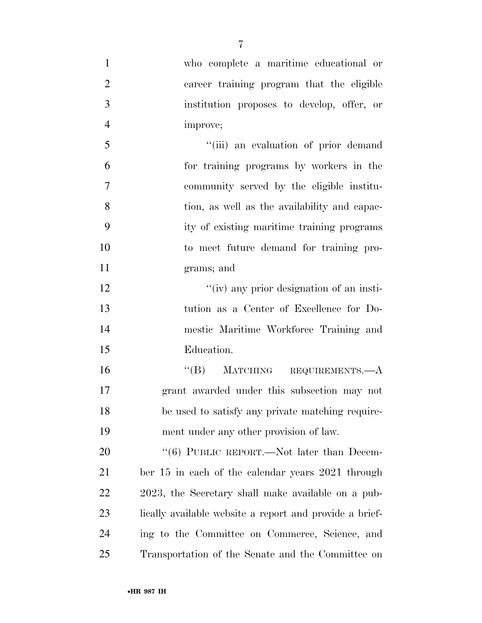who complete a maritime educational or career training program that the eligible institution proposes to develop, offer, or improve; 5 "(iii) an evaluation of prior demand for training programs by workers in the community served by the eligible institu- tion, as well as the availability and capac- ity of existing maritime training programs to meet future demand for training pro- grams; and 12 ''(iv) any prior designation of an insti- tution as a Center of Excellence for Do- mestic Maritime Workforce Training and Education. 16 "(B) MATCHING REQUIREMENTS.—A grant awarded under this subsection may not be used to satisfy any private matching require- ment under any other provision of law. 20 "(6) PUBLIC REPORT.—Not later than Decem- ber 15 in each of the calendar years 2021 through 2023, the Secretary shall make available on a pub-23 lically available website a report and provide a brief- ing to the Committee on Commerce, Science, and Transportation of the Senate and the Committee on